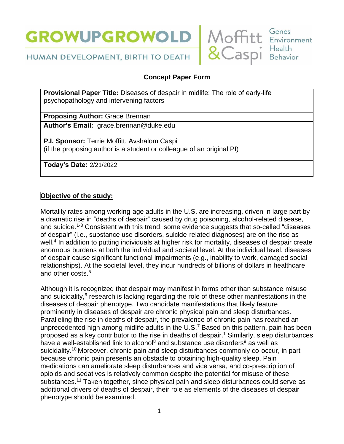



HUMAN DEVELOPMENT, BIRTH TO DEATH

# **Concept Paper Form**

**Provisional Paper Title:** Diseases of despair in midlife: The role of early-life psychopathology and intervening factors

**Proposing Author:** Grace Brennan

**Author's Email:** grace.brennan@duke.edu

**P.I. Sponsor:** Terrie Moffitt, Avshalom Caspi (if the proposing author is a student or colleague of an original PI)

**Today's Date:** 2/21/2022

## **Objective of the study:**

Mortality rates among working-age adults in the U.S. are increasing, driven in large part by a dramatic rise in "deaths of despair" caused by drug poisoning, alcohol-related disease, and suicide.<sup>1-3</sup> Consistent with this trend, some evidence suggests that so-called "diseases" of despair" (i.e., substance use disorders, suicide-related diagnoses) are on the rise as well.<sup>4</sup> In addition to putting individuals at higher risk for mortality, diseases of despair create enormous burdens at both the individual and societal level. At the individual level, diseases of despair cause significant functional impairments (e.g., inability to work, damaged social relationships). At the societal level, they incur hundreds of billions of dollars in healthcare and other costs.<sup>5</sup>

Although it is recognized that despair may manifest in forms other than substance misuse and suicidality, $6$  research is lacking regarding the role of these other manifestations in the diseases of despair phenotype. Two candidate manifestations that likely feature prominently in diseases of despair are chronic physical pain and sleep disturbances. Paralleling the rise in deaths of despair, the prevalence of chronic pain has reached an unprecedented high among midlife adults in the U.S.<sup>7</sup> Based on this pattern, pain has been proposed as a key contributor to the rise in deaths of despair. <sup>1</sup> Similarly, sleep disturbances have a well-established link to alcohol<sup>8</sup> and substance use disorders<sup>9</sup> as well as suicidality. <sup>10</sup> Moreover, chronic pain and sleep disturbances commonly co-occur, in part because chronic pain presents an obstacle to obtaining high-quality sleep. Pain medications can ameliorate sleep disturbances and vice versa, and co-prescription of opioids and sedatives is relatively common despite the potential for misuse of these substances.<sup>11</sup> Taken together, since physical pain and sleep disturbances could serve as additional drivers of deaths of despair, their role as elements of the diseases of despair phenotype should be examined.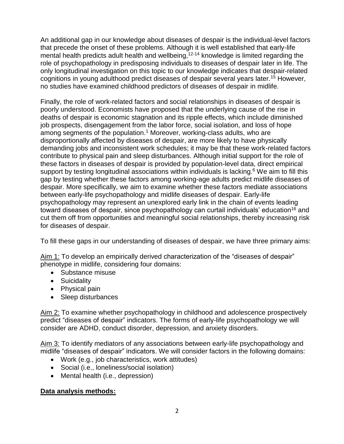An additional gap in our knowledge about diseases of despair is the individual-level factors that precede the onset of these problems. Although it is well established that early-life mental health predicts adult health and wellbeing,  $12-14$  knowledge is limited regarding the role of psychopathology in predisposing individuals to diseases of despair later in life. The only longitudinal investigation on this topic to our knowledge indicates that despair-related cognitions in young adulthood predict diseases of despair several years later.<sup>15</sup> However, no studies have examined childhood predictors of diseases of despair in midlife.

Finally, the role of work-related factors and social relationships in diseases of despair is poorly understood. Economists have proposed that the underlying cause of the rise in deaths of despair is economic stagnation and its ripple effects, which include diminished job prospects, disengagement from the labor force, social isolation, and loss of hope among segments of the population.<sup>1</sup> Moreover, working-class adults, who are disproportionally affected by diseases of despair, are more likely to have physically demanding jobs and inconsistent work schedules; it may be that these work-related factors contribute to physical pain and sleep disturbances. Although initial support for the role of these factors in diseases of despair is provided by population-level data, direct empirical support by testing longitudinal associations within individuals is lacking.<sup>6</sup> We aim to fill this gap by testing whether these factors among working-age adults predict midlife diseases of despair. More specifically, we aim to examine whether these factors mediate associations between early-life psychopathology and midlife diseases of despair. Early-life psychopathology may represent an unexplored early link in the chain of events leading toward diseases of despair, since psychopathology can curtail individuals' education<sup>16</sup> and cut them off from opportunities and meaningful social relationships, thereby increasing risk for diseases of despair.

To fill these gaps in our understanding of diseases of despair, we have three primary aims:

Aim 1: To develop an empirically derived characterization of the "diseases of despair" phenotype in midlife, considering four domains:

- Substance misuse
- Suicidality
- Physical pain
- Sleep disturbances

Aim 2: To examine whether psychopathology in childhood and adolescence prospectively predict "diseases of despair" indicators. The forms of early-life psychopathology we will consider are ADHD, conduct disorder, depression, and anxiety disorders.

Aim 3: To identify mediators of any associations between early-life psychopathology and midlife "diseases of despair" indicators. We will consider factors in the following domains:

- Work (e.g., job characteristics, work attitudes)
- Social (i.e., loneliness/social isolation)
- Mental health (i.e., depression)

#### **Data analysis methods:**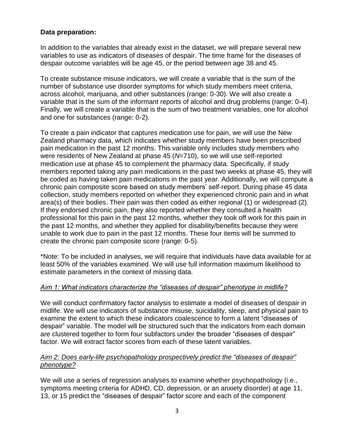### **Data preparation:**

In addition to the variables that already exist in the dataset, we will prepare several new variables to use as indicators of diseases of despair. The time frame for the diseases of despair outcome variables will be age 45, or the period between age 38 and 45.

To create substance misuse indicators, we will create a variable that is the sum of the number of substance use disorder symptoms for which study members meet criteria, across alcohol, marijuana, and other substances (range: 0-30). We will also create a variable that is the sum of the informant reports of alcohol and drug problems (range: 0-4). Finally, we will create a variable that is the sum of two treatment variables, one for alcohol and one for substances (range: 0-2).

To create a pain indicator that captures medication use for pain, we will use the New Zealand pharmacy data, which indicates whether study members have been prescribed pain medication in the past 12 months. This variable only includes study members who were residents of New Zealand at phase 45 (*N*=710), so we will use self-reported medication use at phase 45 to complement the pharmacy data. Specifically, if study members reported taking any pain medications in the past two weeks at phase 45, they will be coded as having taken pain medications in the past year. Additionally, we will compute a chronic pain composite score based on study members' self-report. During phase 45 data collection, study members reported on whether they experienced chronic pain and in what area(s) of their bodies. Their pain was then coded as either regional (1) or widespread (2). If they endorsed chronic pain, they also reported whether they consulted a health professional for this pain in the past 12 months, whether they took off work for this pain in the past 12 months, and whether they applied for disability/benefits because they were unable to work due to pain in the past 12 months. These four items will be summed to create the chronic pain composite score (range: 0-5).

\*Note: To be included in analyses, we will require that individuals have data available for at least 50% of the variables examined. We will use full information maximum likelihood to estimate parameters in the context of missing data.

#### *Aim 1: What indicators characterize the "diseases of despair" phenotype in midlife?*

We will conduct confirmatory factor analysis to estimate a model of diseases of despair in midlife. We will use indicators of substance misuse, suicidality, sleep, and physical pain to examine the extent to which these indicators coalescence to form a latent "diseases of despair" variable. The model will be structured such that the indicators from each domain are clustered together to form four subfactors under the broader "diseases of despair" factor. We will extract factor scores from each of these latent variables.

#### *Aim 2: Does early-life psychopathology prospectively predict the "diseases of despair" phenotype?*

We will use a series of regression analyses to examine whether psychopathology (i.e., symptoms meeting criteria for ADHD, CD, depression, or an anxiety disorder) at age 11, 13, or 15 predict the "diseases of despair" factor score and each of the component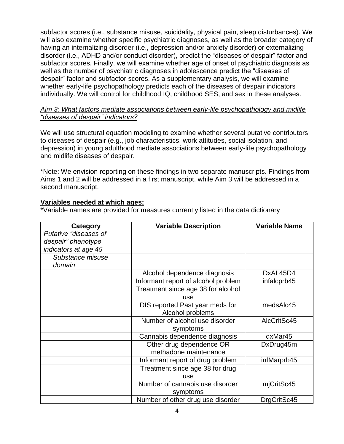subfactor scores (i.e., substance misuse, suicidality, physical pain, sleep disturbances). We will also examine whether specific psychiatric diagnoses, as well as the broader category of having an internalizing disorder (i.e., depression and/or anxiety disorder) or externalizing disorder (i.e., ADHD and/or conduct disorder), predict the "diseases of despair" factor and subfactor scores. Finally, we will examine whether age of onset of psychiatric diagnosis as well as the number of psychiatric diagnoses in adolescence predict the "diseases of despair" factor and subfactor scores. As a supplementary analysis, we will examine whether early-life psychopathology predicts each of the diseases of despair indicators individually. We will control for childhood IQ, childhood SES, and sex in these analyses.

#### *Aim 3: What factors mediate associations between early-life psychopathology and midlife "diseases of despair" indicators?*

We will use structural equation modeling to examine whether several putative contributors to diseases of despair (e.g., job characteristics, work attitudes, social isolation, and depression) in young adulthood mediate associations between early-life psychopathology and midlife diseases of despair.

\*Note: We envision reporting on these findings in two separate manuscripts. Findings from Aims 1 and 2 will be addressed in a first manuscript, while Aim 3 will be addressed in a second manuscript.

### **Variables needed at which ages:**

\*Variable names are provided for measures currently listed in the data dictionary

| Category              | <b>Variable Description</b>         | <b>Variable Name</b> |
|-----------------------|-------------------------------------|----------------------|
| Putative "diseases of |                                     |                      |
| despair" phenotype    |                                     |                      |
| indicators at age 45  |                                     |                      |
| Substance misuse      |                                     |                      |
| domain                |                                     |                      |
|                       | Alcohol dependence diagnosis        | DxAL45D4             |
|                       | Informant report of alcohol problem | infalcprb45          |
|                       | Treatment since age 38 for alcohol  |                      |
|                       | use                                 |                      |
|                       | DIS reported Past year meds for     | medsAlc45            |
|                       | Alcohol problems                    |                      |
|                       | Number of alcohol use disorder      | AlcCritSc45          |
|                       | symptoms                            |                      |
|                       | Cannabis dependence diagnosis       | dxMar45              |
|                       | Other drug dependence OR            | DxDrug45m            |
|                       | methadone maintenance               |                      |
|                       | Informant report of drug problem    | infMarprb45          |
|                       | Treatment since age 38 for drug     |                      |
|                       | use                                 |                      |
|                       | Number of cannabis use disorder     | mjCritSc45           |
|                       | symptoms                            |                      |
|                       | Number of other drug use disorder   | DrgCritSc45          |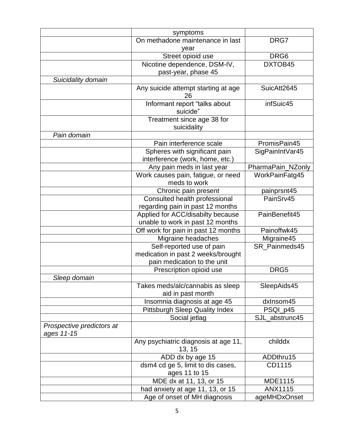|                                         | symptoms                                                         |                   |
|-----------------------------------------|------------------------------------------------------------------|-------------------|
|                                         | On methadone maintenance in last                                 | DRG7              |
|                                         | year                                                             |                   |
|                                         | Street opioid use                                                | DRG <sub>6</sub>  |
|                                         | Nicotine dependence, DSM-IV,                                     | DXTOB45           |
|                                         | past-year, phase 45                                              |                   |
| Suicidality domain                      |                                                                  |                   |
|                                         | Any suicide attempt starting at age<br>26                        | SuicAtt2645       |
|                                         | Informant report "talks about<br>suicide"                        | infSuic45         |
|                                         | Treatment since age 38 for<br>suicidality                        |                   |
| Pain domain                             |                                                                  |                   |
|                                         | Pain interference scale                                          | PromisPain45      |
|                                         | Spheres with significant pain<br>interference (work, home, etc.) | SigPainIntVar45   |
|                                         | Any pain meds in last year                                       | PharmaPain_NZonly |
|                                         | Work causes pain, fatigue, or need<br>meds to work               | WorkPainFatg45    |
|                                         | Chronic pain present                                             | painprsnt45       |
|                                         | Consulted health professional                                    | PainSrv45         |
|                                         | regarding pain in past 12 months                                 |                   |
|                                         | Applied for ACC/disabilty because                                | PainBenefit45     |
|                                         | unable to work in past 12 months                                 |                   |
|                                         | Off work for pain in past 12 months                              | Painoffwk45       |
|                                         | Migraine headaches                                               | Migraine45        |
|                                         | Self-reported use of pain                                        | SR Painmeds45     |
|                                         | medication in past 2 weeks/brought                               |                   |
|                                         | pain medication to the unit                                      |                   |
|                                         | Prescription opioid use                                          | DRG5              |
| Sleep domain                            |                                                                  |                   |
|                                         | Takes meds/alc/cannabis as sleep<br>aid in past month            | SleepAids45       |
|                                         | Insomnia diagnosis at age 45                                     | dxlnsom45         |
|                                         | <b>Pittsburgh Sleep Quality Index</b>                            | PSQI_p45          |
|                                         | Social jetlag                                                    | SJL_abstrunc45    |
| Prospective predictors at<br>ages 11-15 |                                                                  |                   |
|                                         | Any psychiatric diagnosis at age 11,<br>13, 15                   | childdx           |
|                                         | ADD dx by age 15                                                 | ADDthru15         |
|                                         | dsm4 cd ge 5, limit to dis cases,                                | CD1115            |
|                                         | ages 11 to 15                                                    |                   |
|                                         | MDE dx at 11, 13, or 15                                          | <b>MDE1115</b>    |
|                                         | had anxiety at age 11, 13, or 15                                 | <b>ANX1115</b>    |
|                                         | Age of onset of MH diagnosis                                     | ageMHDxOnset      |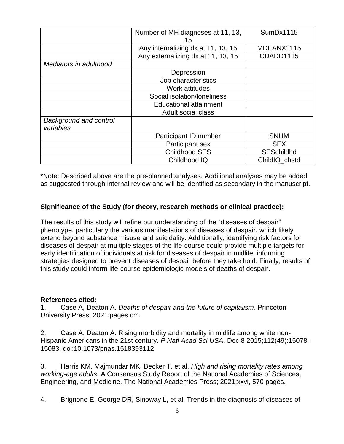|                                     | Number of MH diagnoses at 11, 13,  | SumDx1115         |
|-------------------------------------|------------------------------------|-------------------|
|                                     | 15                                 |                   |
|                                     | Any internalizing dx at 11, 13, 15 | MDEANX1115        |
|                                     | Any externalizing dx at 11, 13, 15 | CDADD1115         |
| Mediators in adulthood              |                                    |                   |
|                                     | Depression                         |                   |
|                                     | Job characteristics                |                   |
|                                     | Work attitudes                     |                   |
|                                     | Social isolation/loneliness        |                   |
|                                     | <b>Educational attainment</b>      |                   |
|                                     | Adult social class                 |                   |
| Background and control<br>variables |                                    |                   |
|                                     | Participant ID number              | <b>SNUM</b>       |
|                                     | Participant sex                    | <b>SEX</b>        |
|                                     | <b>Childhood SES</b>               | <b>SESchildhd</b> |
|                                     | Childhood IQ                       | ChildIQ chstd     |

\*Note: Described above are the pre-planned analyses. Additional analyses may be added as suggested through internal review and will be identified as secondary in the manuscript.

#### **Significance of the Study (for theory, research methods or clinical practice):**

The results of this study will refine our understanding of the "diseases of despair" phenotype, particularly the various manifestations of diseases of despair, which likely extend beyond substance misuse and suicidality. Additionally, identifying risk factors for diseases of despair at multiple stages of the life-course could provide multiple targets for early identification of individuals at risk for diseases of despair in midlife, informing strategies designed to prevent diseases of despair before they take hold. Finally, results of this study could inform life-course epidemiologic models of deaths of despair.

#### **References cited:**

1. Case A, Deaton A. *Deaths of despair and the future of capitalism*. Princeton University Press; 2021:pages cm.

2. Case A, Deaton A. Rising morbidity and mortality in midlife among white non-Hispanic Americans in the 21st century. *P Natl Acad Sci USA*. Dec 8 2015;112(49):15078- 15083. doi:10.1073/pnas.1518393112

3. Harris KM, Majmundar MK, Becker T, et al. *High and rising mortality rates among working-age adults*. A Consensus Study Report of the National Academies of Sciences, Engineering, and Medicine. The National Academies Press; 2021:xxvi, 570 pages.

4. Brignone E, George DR, Sinoway L, et al. Trends in the diagnosis of diseases of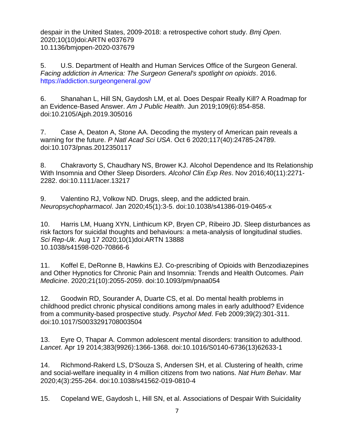despair in the United States, 2009-2018: a retrospective cohort study. *Bmj Open*. 2020;10(10)doi:ARTN e037679 10.1136/bmjopen-2020-037679

5. U.S. Department of Health and Human Services Office of the Surgeon General. *Facing addiction in America: The Surgeon General's spotlight on opioids*. 2016. <https://addiction.surgeongeneral.gov/>

6. Shanahan L, Hill SN, Gaydosh LM, et al. Does Despair Really Kill? A Roadmap for an Evidence-Based Answer. *Am J Public Health*. Jun 2019;109(6):854-858. doi:10.2105/Ajph.2019.305016

7. Case A, Deaton A, Stone AA. Decoding the mystery of American pain reveals a warning for the future. *P Natl Acad Sci USA*. Oct 6 2020;117(40):24785-24789. doi:10.1073/pnas.2012350117

8. Chakravorty S, Chaudhary NS, Brower KJ. Alcohol Dependence and Its Relationship With Insomnia and Other Sleep Disorders. *Alcohol Clin Exp Res*. Nov 2016;40(11):2271- 2282. doi:10.1111/acer.13217

9. Valentino RJ, Volkow ND. Drugs, sleep, and the addicted brain. *Neuropsychopharmacol*. Jan 2020;45(1):3-5. doi:10.1038/s41386-019-0465-x

10. Harris LM, Huang XYN, Linthicum KP, Bryen CP, Ribeiro JD. Sleep disturbances as risk factors for suicidal thoughts and behaviours: a meta-analysis of longitudinal studies. *Sci Rep-Uk*. Aug 17 2020;10(1)doi:ARTN 13888 10.1038/s41598-020-70866-6

11. Koffel E, DeRonne B, Hawkins EJ. Co-prescribing of Opioids with Benzodiazepines and Other Hypnotics for Chronic Pain and Insomnia: Trends and Health Outcomes. *Pain Medicine*. 2020;21(10):2055-2059. doi:10.1093/pm/pnaa054

12. Goodwin RD, Sourander A, Duarte CS, et al. Do mental health problems in childhood predict chronic physical conditions among males in early adulthood? Evidence from a community-based prospective study. *Psychol Med*. Feb 2009;39(2):301-311. doi:10.1017/S0033291708003504

13. Eyre O, Thapar A. Common adolescent mental disorders: transition to adulthood. *Lancet*. Apr 19 2014;383(9926):1366-1368. doi:10.1016/S0140-6736(13)62633-1

14. Richmond-Rakerd LS, D'Souza S, Andersen SH, et al. Clustering of health, crime and social-welfare inequality in 4 million citizens from two nations. *Nat Hum Behav*. Mar 2020;4(3):255-264. doi:10.1038/s41562-019-0810-4

15. Copeland WE, Gaydosh L, Hill SN, et al. Associations of Despair With Suicidality